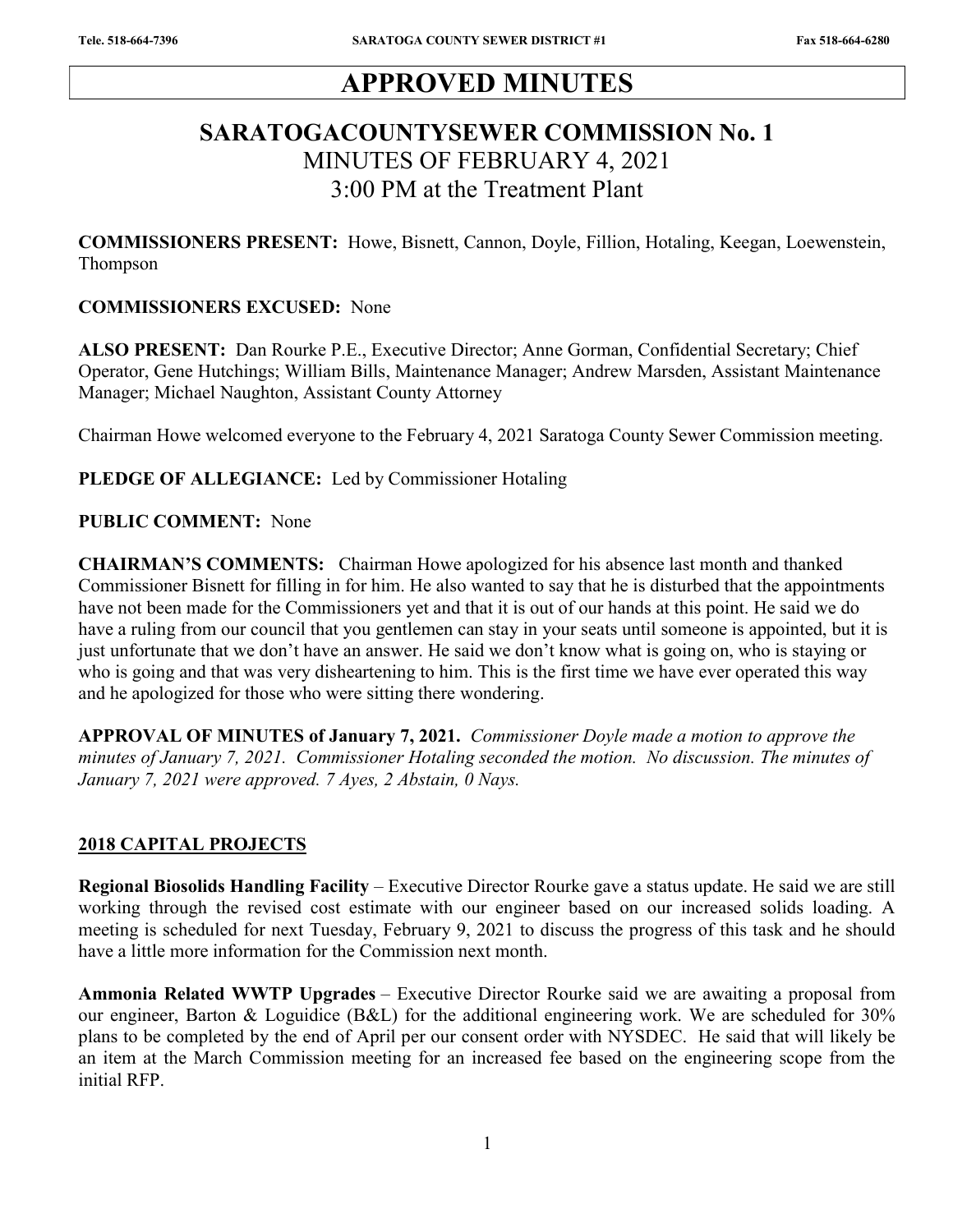# APPROVED MINUTES

# SARATOGACOUNTYSEWER COMMISSION No. 1 MINUTES OF FEBRUARY 4, 2021 3:00 PM at the Treatment Plant

COMMISSIONERS PRESENT: Howe, Bisnett, Cannon, Doyle, Fillion, Hotaling, Keegan, Loewenstein, Thompson

#### COMMISSIONERS EXCUSED: None

ALSO PRESENT: Dan Rourke P.E., Executive Director; Anne Gorman, Confidential Secretary; Chief Operator, Gene Hutchings; William Bills, Maintenance Manager; Andrew Marsden, Assistant Maintenance Manager; Michael Naughton, Assistant County Attorney

Chairman Howe welcomed everyone to the February 4, 2021 Saratoga County Sewer Commission meeting.

#### PLEDGE OF ALLEGIANCE: Led by Commissioner Hotaling

#### PUBLIC COMMENT: None

CHAIRMAN'S COMMENTS: Chairman Howe apologized for his absence last month and thanked Commissioner Bisnett for filling in for him. He also wanted to say that he is disturbed that the appointments have not been made for the Commissioners yet and that it is out of our hands at this point. He said we do have a ruling from our council that you gentlemen can stay in your seats until someone is appointed, but it is just unfortunate that we don't have an answer. He said we don't know what is going on, who is staying or who is going and that was very disheartening to him. This is the first time we have ever operated this way and he apologized for those who were sitting there wondering.

APPROVAL OF MINUTES of January 7, 2021. Commissioner Doyle made a motion to approve the minutes of January 7, 2021. Commissioner Hotaling seconded the motion. No discussion. The minutes of January 7, 2021 were approved. 7 Ayes, 2 Abstain, 0 Nays.

#### 2018 CAPITAL PROJECTS

Regional Biosolids Handling Facility - Executive Director Rourke gave a status update. He said we are still working through the revised cost estimate with our engineer based on our increased solids loading. A meeting is scheduled for next Tuesday, February 9, 2021 to discuss the progress of this task and he should have a little more information for the Commission next month.

Ammonia Related WWTP Upgrades – Executive Director Rourke said we are awaiting a proposal from our engineer, Barton & Loguidice (B&L) for the additional engineering work. We are scheduled for 30% plans to be completed by the end of April per our consent order with NYSDEC. He said that will likely be an item at the March Commission meeting for an increased fee based on the engineering scope from the initial RFP.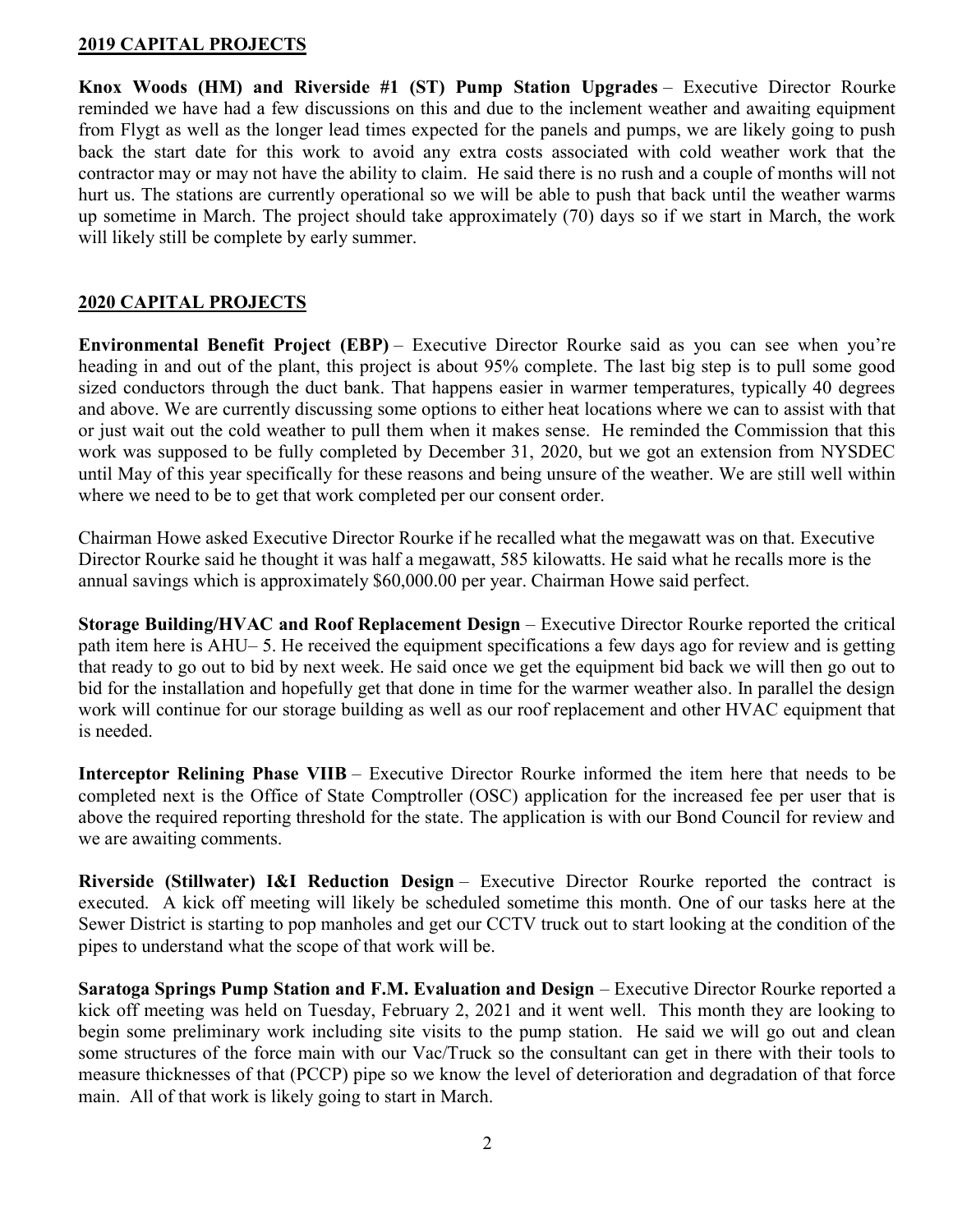#### 2019 CAPITAL PROJECTS

Knox Woods (HM) and Riverside #1 (ST) Pump Station Upgrades – Executive Director Rourke reminded we have had a few discussions on this and due to the inclement weather and awaiting equipment from Flygt as well as the longer lead times expected for the panels and pumps, we are likely going to push back the start date for this work to avoid any extra costs associated with cold weather work that the contractor may or may not have the ability to claim. He said there is no rush and a couple of months will not hurt us. The stations are currently operational so we will be able to push that back until the weather warms up sometime in March. The project should take approximately (70) days so if we start in March, the work will likely still be complete by early summer.

## 2020 CAPITAL PROJECTS

Environmental Benefit Project (EBP) – Executive Director Rourke said as you can see when you're heading in and out of the plant, this project is about 95% complete. The last big step is to pull some good sized conductors through the duct bank. That happens easier in warmer temperatures, typically 40 degrees and above. We are currently discussing some options to either heat locations where we can to assist with that or just wait out the cold weather to pull them when it makes sense. He reminded the Commission that this work was supposed to be fully completed by December 31, 2020, but we got an extension from NYSDEC until May of this year specifically for these reasons and being unsure of the weather. We are still well within where we need to be to get that work completed per our consent order.

Chairman Howe asked Executive Director Rourke if he recalled what the megawatt was on that. Executive Director Rourke said he thought it was half a megawatt, 585 kilowatts. He said what he recalls more is the annual savings which is approximately \$60,000.00 per year. Chairman Howe said perfect.

Storage Building/HVAC and Roof Replacement Design – Executive Director Rourke reported the critical path item here is AHU– 5. He received the equipment specifications a few days ago for review and is getting that ready to go out to bid by next week. He said once we get the equipment bid back we will then go out to bid for the installation and hopefully get that done in time for the warmer weather also. In parallel the design work will continue for our storage building as well as our roof replacement and other HVAC equipment that is needed.

Interceptor Relining Phase VIIB – Executive Director Rourke informed the item here that needs to be completed next is the Office of State Comptroller (OSC) application for the increased fee per user that is above the required reporting threshold for the state. The application is with our Bond Council for review and we are awaiting comments.

Riverside (Stillwater) I&I Reduction Design – Executive Director Rourke reported the contract is executed. A kick off meeting will likely be scheduled sometime this month. One of our tasks here at the Sewer District is starting to pop manholes and get our CCTV truck out to start looking at the condition of the pipes to understand what the scope of that work will be.

Saratoga Springs Pump Station and F.M. Evaluation and Design – Executive Director Rourke reported a kick off meeting was held on Tuesday, February 2, 2021 and it went well. This month they are looking to begin some preliminary work including site visits to the pump station. He said we will go out and clean some structures of the force main with our Vac/Truck so the consultant can get in there with their tools to measure thicknesses of that (PCCP) pipe so we know the level of deterioration and degradation of that force main. All of that work is likely going to start in March.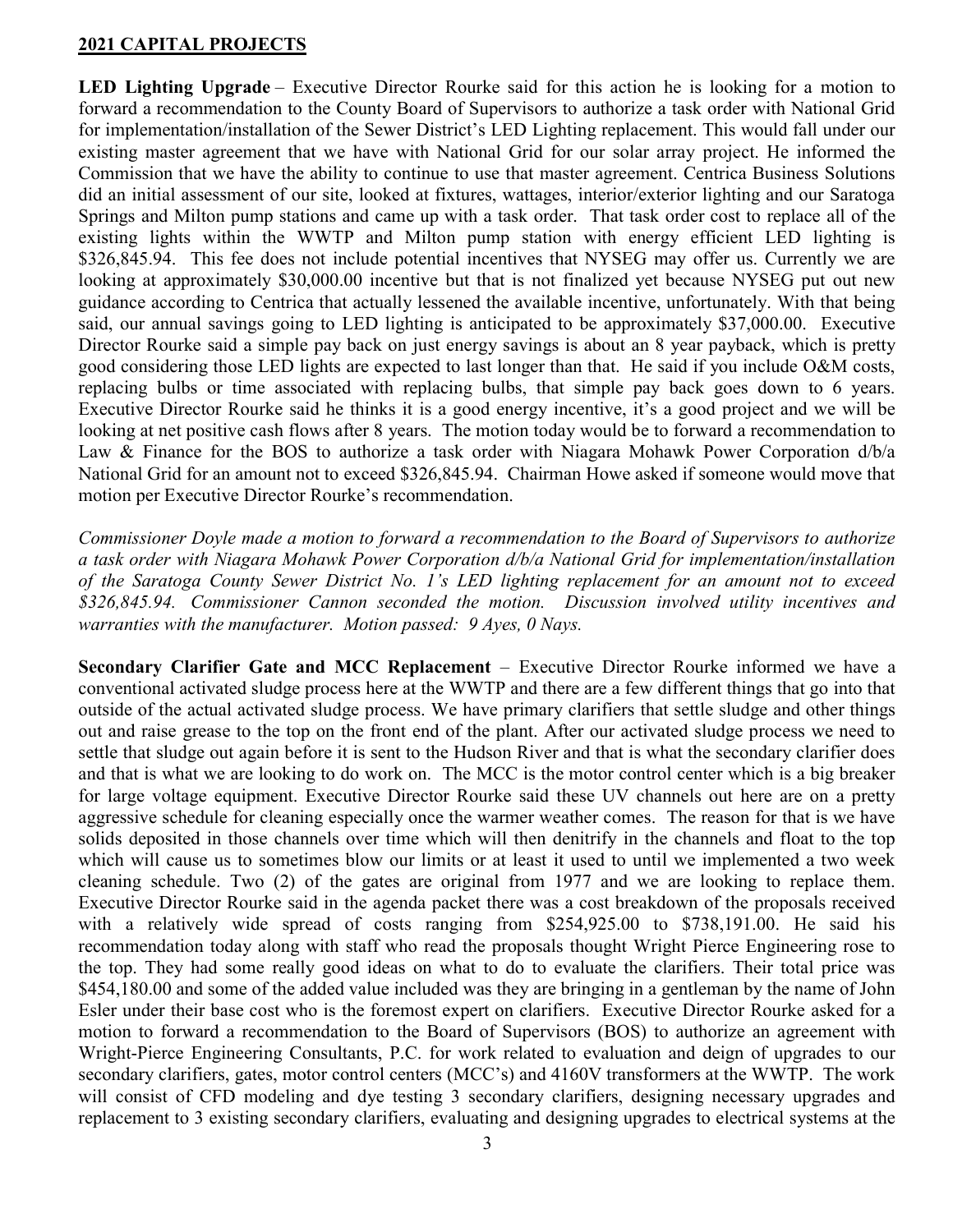#### 2021 CAPITAL PROJECTS

LED Lighting Upgrade – Executive Director Rourke said for this action he is looking for a motion to forward a recommendation to the County Board of Supervisors to authorize a task order with National Grid for implementation/installation of the Sewer District's LED Lighting replacement. This would fall under our existing master agreement that we have with National Grid for our solar array project. He informed the Commission that we have the ability to continue to use that master agreement. Centrica Business Solutions did an initial assessment of our site, looked at fixtures, wattages, interior/exterior lighting and our Saratoga Springs and Milton pump stations and came up with a task order. That task order cost to replace all of the existing lights within the WWTP and Milton pump station with energy efficient LED lighting is \$326,845.94. This fee does not include potential incentives that NYSEG may offer us. Currently we are looking at approximately \$30,000.00 incentive but that is not finalized yet because NYSEG put out new guidance according to Centrica that actually lessened the available incentive, unfortunately. With that being said, our annual savings going to LED lighting is anticipated to be approximately \$37,000.00. Executive Director Rourke said a simple pay back on just energy savings is about an 8 year payback, which is pretty good considering those LED lights are expected to last longer than that. He said if you include O&M costs, replacing bulbs or time associated with replacing bulbs, that simple pay back goes down to 6 years. Executive Director Rourke said he thinks it is a good energy incentive, it's a good project and we will be looking at net positive cash flows after 8 years. The motion today would be to forward a recommendation to Law & Finance for the BOS to authorize a task order with Niagara Mohawk Power Corporation d/b/a National Grid for an amount not to exceed \$326,845.94. Chairman Howe asked if someone would move that motion per Executive Director Rourke's recommendation.

Commissioner Doyle made a motion to forward a recommendation to the Board of Supervisors to authorize a task order with Niagara Mohawk Power Corporation d/b/a National Grid for implementation/installation of the Saratoga County Sewer District No. 1's LED lighting replacement for an amount not to exceed \$326,845.94. Commissioner Cannon seconded the motion. Discussion involved utility incentives and warranties with the manufacturer. Motion passed: 9 Ayes, 0 Nays.

Secondary Clarifier Gate and MCC Replacement – Executive Director Rourke informed we have a conventional activated sludge process here at the WWTP and there are a few different things that go into that outside of the actual activated sludge process. We have primary clarifiers that settle sludge and other things out and raise grease to the top on the front end of the plant. After our activated sludge process we need to settle that sludge out again before it is sent to the Hudson River and that is what the secondary clarifier does and that is what we are looking to do work on. The MCC is the motor control center which is a big breaker for large voltage equipment. Executive Director Rourke said these UV channels out here are on a pretty aggressive schedule for cleaning especially once the warmer weather comes. The reason for that is we have solids deposited in those channels over time which will then denitrify in the channels and float to the top which will cause us to sometimes blow our limits or at least it used to until we implemented a two week cleaning schedule. Two (2) of the gates are original from 1977 and we are looking to replace them. Executive Director Rourke said in the agenda packet there was a cost breakdown of the proposals received with a relatively wide spread of costs ranging from \$254,925.00 to \$738,191.00. He said his recommendation today along with staff who read the proposals thought Wright Pierce Engineering rose to the top. They had some really good ideas on what to do to evaluate the clarifiers. Their total price was \$454,180.00 and some of the added value included was they are bringing in a gentleman by the name of John Esler under their base cost who is the foremost expert on clarifiers. Executive Director Rourke asked for a motion to forward a recommendation to the Board of Supervisors (BOS) to authorize an agreement with Wright-Pierce Engineering Consultants, P.C. for work related to evaluation and deign of upgrades to our secondary clarifiers, gates, motor control centers (MCC's) and 4160V transformers at the WWTP. The work will consist of CFD modeling and dye testing 3 secondary clarifiers, designing necessary upgrades and replacement to 3 existing secondary clarifiers, evaluating and designing upgrades to electrical systems at the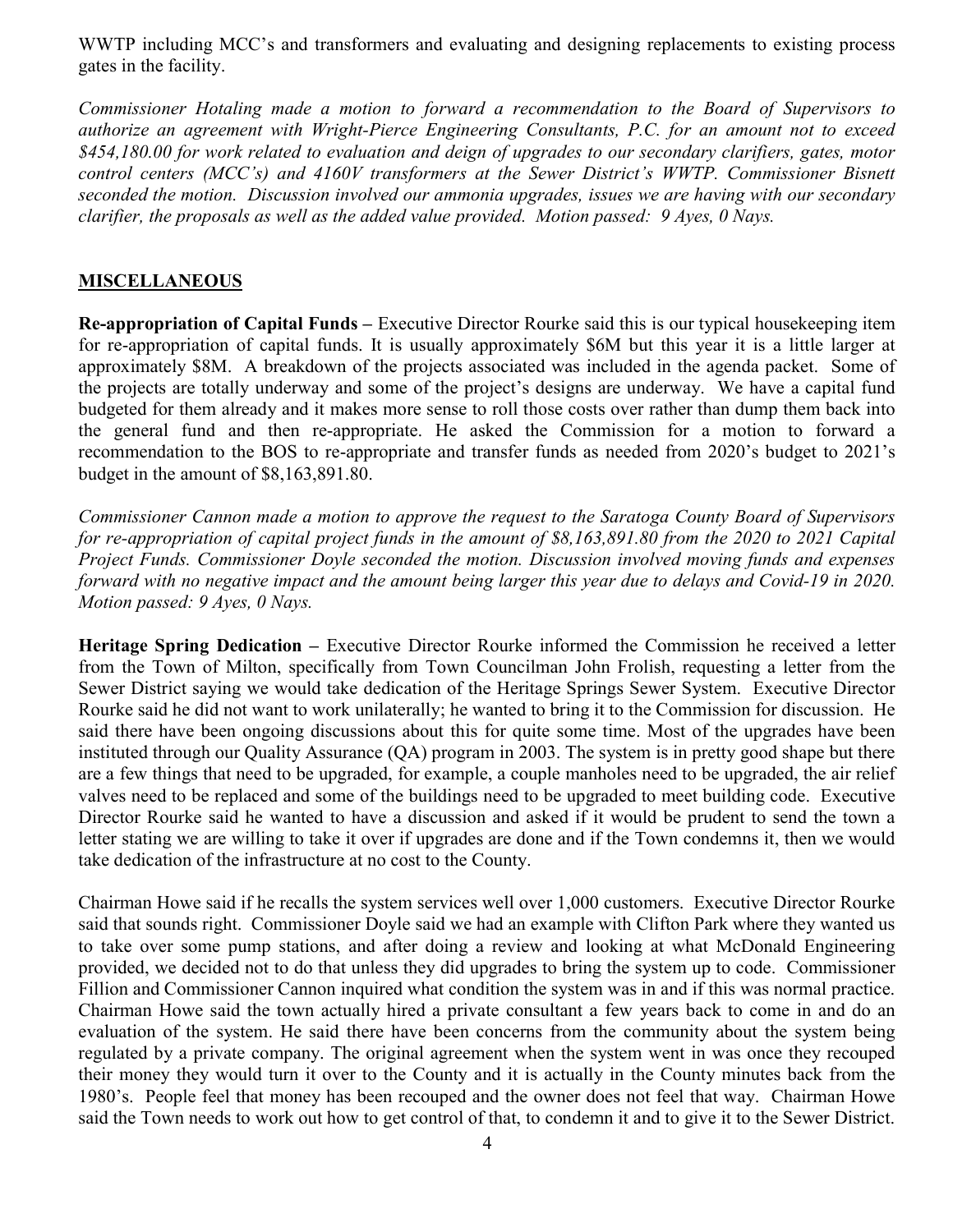WWTP including MCC's and transformers and evaluating and designing replacements to existing process gates in the facility.

Commissioner Hotaling made a motion to forward a recommendation to the Board of Supervisors to authorize an agreement with Wright-Pierce Engineering Consultants, P.C. for an amount not to exceed \$454,180.00 for work related to evaluation and deign of upgrades to our secondary clarifiers, gates, motor control centers (MCC's) and 4160V transformers at the Sewer District's WWTP. Commissioner Bisnett seconded the motion. Discussion involved our ammonia upgrades, issues we are having with our secondary clarifier, the proposals as well as the added value provided. Motion passed: 9 Ayes, 0 Nays.

### **MISCELLANEOUS**

Re-appropriation of Capital Funds – Executive Director Rourke said this is our typical housekeeping item for re-appropriation of capital funds. It is usually approximately \$6M but this year it is a little larger at approximately \$8M. A breakdown of the projects associated was included in the agenda packet. Some of the projects are totally underway and some of the project's designs are underway. We have a capital fund budgeted for them already and it makes more sense to roll those costs over rather than dump them back into the general fund and then re-appropriate. He asked the Commission for a motion to forward a recommendation to the BOS to re-appropriate and transfer funds as needed from 2020's budget to 2021's budget in the amount of \$8,163,891.80.

Commissioner Cannon made a motion to approve the request to the Saratoga County Board of Supervisors for re-appropriation of capital project funds in the amount of \$8,163,891.80 from the 2020 to 2021 Capital Project Funds. Commissioner Doyle seconded the motion. Discussion involved moving funds and expenses forward with no negative impact and the amount being larger this year due to delays and Covid-19 in 2020. Motion passed: 9 Ayes, 0 Nays.

Heritage Spring Dedication – Executive Director Rourke informed the Commission he received a letter from the Town of Milton, specifically from Town Councilman John Frolish, requesting a letter from the Sewer District saying we would take dedication of the Heritage Springs Sewer System. Executive Director Rourke said he did not want to work unilaterally; he wanted to bring it to the Commission for discussion. He said there have been ongoing discussions about this for quite some time. Most of the upgrades have been instituted through our Quality Assurance (QA) program in 2003. The system is in pretty good shape but there are a few things that need to be upgraded, for example, a couple manholes need to be upgraded, the air relief valves need to be replaced and some of the buildings need to be upgraded to meet building code. Executive Director Rourke said he wanted to have a discussion and asked if it would be prudent to send the town a letter stating we are willing to take it over if upgrades are done and if the Town condemns it, then we would take dedication of the infrastructure at no cost to the County.

Chairman Howe said if he recalls the system services well over 1,000 customers. Executive Director Rourke said that sounds right. Commissioner Doyle said we had an example with Clifton Park where they wanted us to take over some pump stations, and after doing a review and looking at what McDonald Engineering provided, we decided not to do that unless they did upgrades to bring the system up to code. Commissioner Fillion and Commissioner Cannon inquired what condition the system was in and if this was normal practice. Chairman Howe said the town actually hired a private consultant a few years back to come in and do an evaluation of the system. He said there have been concerns from the community about the system being regulated by a private company. The original agreement when the system went in was once they recouped their money they would turn it over to the County and it is actually in the County minutes back from the 1980's. People feel that money has been recouped and the owner does not feel that way. Chairman Howe said the Town needs to work out how to get control of that, to condemn it and to give it to the Sewer District.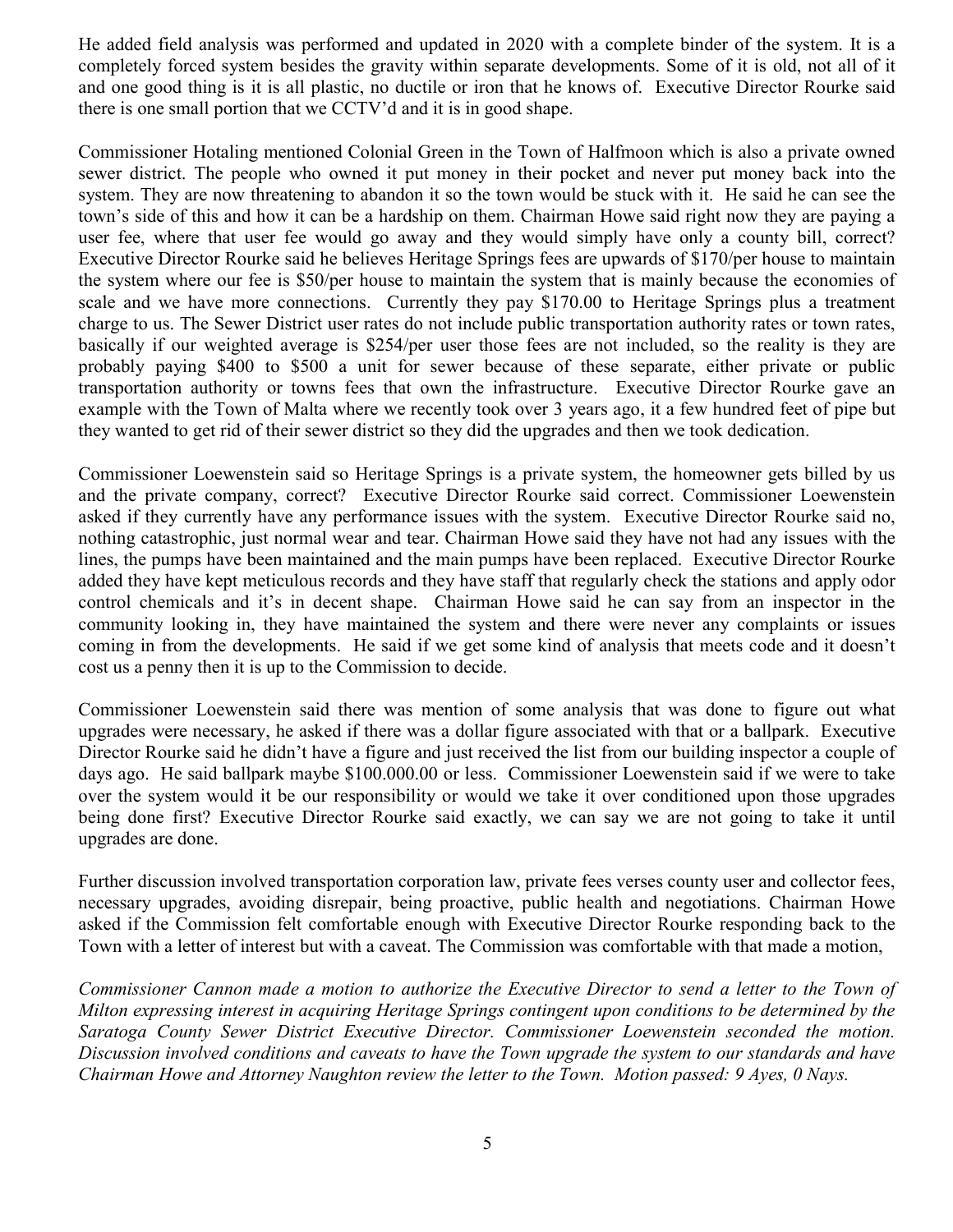He added field analysis was performed and updated in 2020 with a complete binder of the system. It is a completely forced system besides the gravity within separate developments. Some of it is old, not all of it and one good thing is it is all plastic, no ductile or iron that he knows of. Executive Director Rourke said there is one small portion that we CCTV'd and it is in good shape.

Commissioner Hotaling mentioned Colonial Green in the Town of Halfmoon which is also a private owned sewer district. The people who owned it put money in their pocket and never put money back into the system. They are now threatening to abandon it so the town would be stuck with it. He said he can see the town's side of this and how it can be a hardship on them. Chairman Howe said right now they are paying a user fee, where that user fee would go away and they would simply have only a county bill, correct? Executive Director Rourke said he believes Heritage Springs fees are upwards of \$170/per house to maintain the system where our fee is \$50/per house to maintain the system that is mainly because the economies of scale and we have more connections. Currently they pay \$170.00 to Heritage Springs plus a treatment charge to us. The Sewer District user rates do not include public transportation authority rates or town rates, basically if our weighted average is \$254/per user those fees are not included, so the reality is they are probably paying \$400 to \$500 a unit for sewer because of these separate, either private or public transportation authority or towns fees that own the infrastructure. Executive Director Rourke gave an example with the Town of Malta where we recently took over 3 years ago, it a few hundred feet of pipe but they wanted to get rid of their sewer district so they did the upgrades and then we took dedication.

Commissioner Loewenstein said so Heritage Springs is a private system, the homeowner gets billed by us and the private company, correct? Executive Director Rourke said correct. Commissioner Loewenstein asked if they currently have any performance issues with the system. Executive Director Rourke said no, nothing catastrophic, just normal wear and tear. Chairman Howe said they have not had any issues with the lines, the pumps have been maintained and the main pumps have been replaced. Executive Director Rourke added they have kept meticulous records and they have staff that regularly check the stations and apply odor control chemicals and it's in decent shape. Chairman Howe said he can say from an inspector in the community looking in, they have maintained the system and there were never any complaints or issues coming in from the developments. He said if we get some kind of analysis that meets code and it doesn't cost us a penny then it is up to the Commission to decide.

Commissioner Loewenstein said there was mention of some analysis that was done to figure out what upgrades were necessary, he asked if there was a dollar figure associated with that or a ballpark. Executive Director Rourke said he didn't have a figure and just received the list from our building inspector a couple of days ago. He said ballpark maybe \$100.000.00 or less. Commissioner Loewenstein said if we were to take over the system would it be our responsibility or would we take it over conditioned upon those upgrades being done first? Executive Director Rourke said exactly, we can say we are not going to take it until upgrades are done.

Further discussion involved transportation corporation law, private fees verses county user and collector fees, necessary upgrades, avoiding disrepair, being proactive, public health and negotiations. Chairman Howe asked if the Commission felt comfortable enough with Executive Director Rourke responding back to the Town with a letter of interest but with a caveat. The Commission was comfortable with that made a motion,

Commissioner Cannon made a motion to authorize the Executive Director to send a letter to the Town of Milton expressing interest in acquiring Heritage Springs contingent upon conditions to be determined by the Saratoga County Sewer District Executive Director. Commissioner Loewenstein seconded the motion. Discussion involved conditions and caveats to have the Town upgrade the system to our standards and have Chairman Howe and Attorney Naughton review the letter to the Town. Motion passed: 9 Ayes, 0 Nays.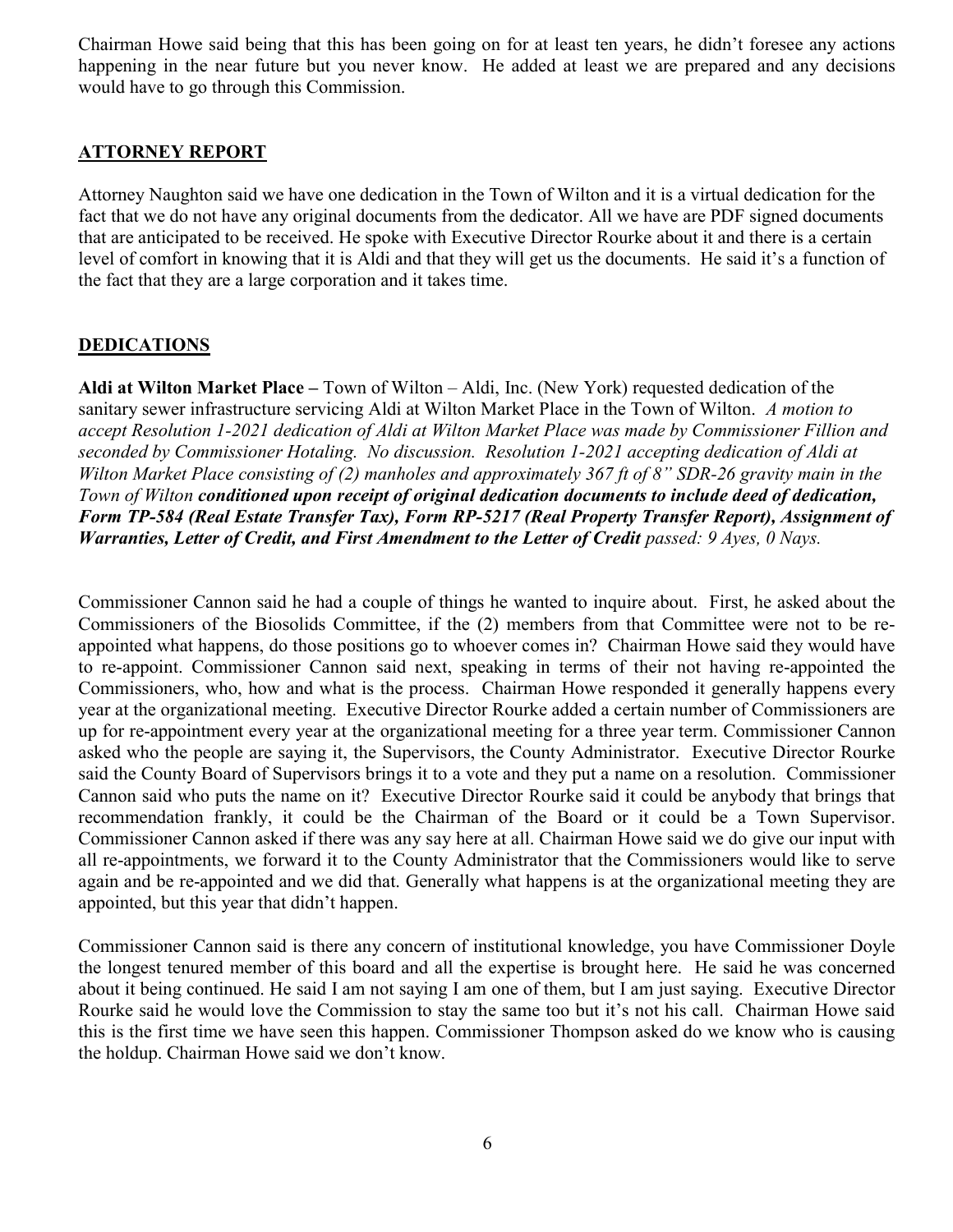Chairman Howe said being that this has been going on for at least ten years, he didn't foresee any actions happening in the near future but you never know. He added at least we are prepared and any decisions would have to go through this Commission.

## ATTORNEY REPORT

Attorney Naughton said we have one dedication in the Town of Wilton and it is a virtual dedication for the fact that we do not have any original documents from the dedicator. All we have are PDF signed documents that are anticipated to be received. He spoke with Executive Director Rourke about it and there is a certain level of comfort in knowing that it is Aldi and that they will get us the documents. He said it's a function of the fact that they are a large corporation and it takes time.

## **DEDICATIONS**

Aldi at Wilton Market Place – Town of Wilton – Aldi, Inc. (New York) requested dedication of the sanitary sewer infrastructure servicing Aldi at Wilton Market Place in the Town of Wilton. A motion to accept Resolution 1-2021 dedication of Aldi at Wilton Market Place was made by Commissioner Fillion and seconded by Commissioner Hotaling. No discussion. Resolution 1-2021 accepting dedication of Aldi at Wilton Market Place consisting of (2) manholes and approximately 367 ft of 8" SDR-26 gravity main in the Town of Wilton conditioned upon receipt of original dedication documents to include deed of dedication, Form TP-584 (Real Estate Transfer Tax), Form RP-5217 (Real Property Transfer Report), Assignment of Warranties, Letter of Credit, and First Amendment to the Letter of Credit passed: 9 Ayes, 0 Nays.

Commissioner Cannon said he had a couple of things he wanted to inquire about. First, he asked about the Commissioners of the Biosolids Committee, if the (2) members from that Committee were not to be reappointed what happens, do those positions go to whoever comes in? Chairman Howe said they would have to re-appoint. Commissioner Cannon said next, speaking in terms of their not having re-appointed the Commissioners, who, how and what is the process. Chairman Howe responded it generally happens every year at the organizational meeting. Executive Director Rourke added a certain number of Commissioners are up for re-appointment every year at the organizational meeting for a three year term. Commissioner Cannon asked who the people are saying it, the Supervisors, the County Administrator. Executive Director Rourke said the County Board of Supervisors brings it to a vote and they put a name on a resolution. Commissioner Cannon said who puts the name on it? Executive Director Rourke said it could be anybody that brings that recommendation frankly, it could be the Chairman of the Board or it could be a Town Supervisor. Commissioner Cannon asked if there was any say here at all. Chairman Howe said we do give our input with all re-appointments, we forward it to the County Administrator that the Commissioners would like to serve again and be re-appointed and we did that. Generally what happens is at the organizational meeting they are appointed, but this year that didn't happen.

Commissioner Cannon said is there any concern of institutional knowledge, you have Commissioner Doyle the longest tenured member of this board and all the expertise is brought here. He said he was concerned about it being continued. He said I am not saying I am one of them, but I am just saying. Executive Director Rourke said he would love the Commission to stay the same too but it's not his call. Chairman Howe said this is the first time we have seen this happen. Commissioner Thompson asked do we know who is causing the holdup. Chairman Howe said we don't know.